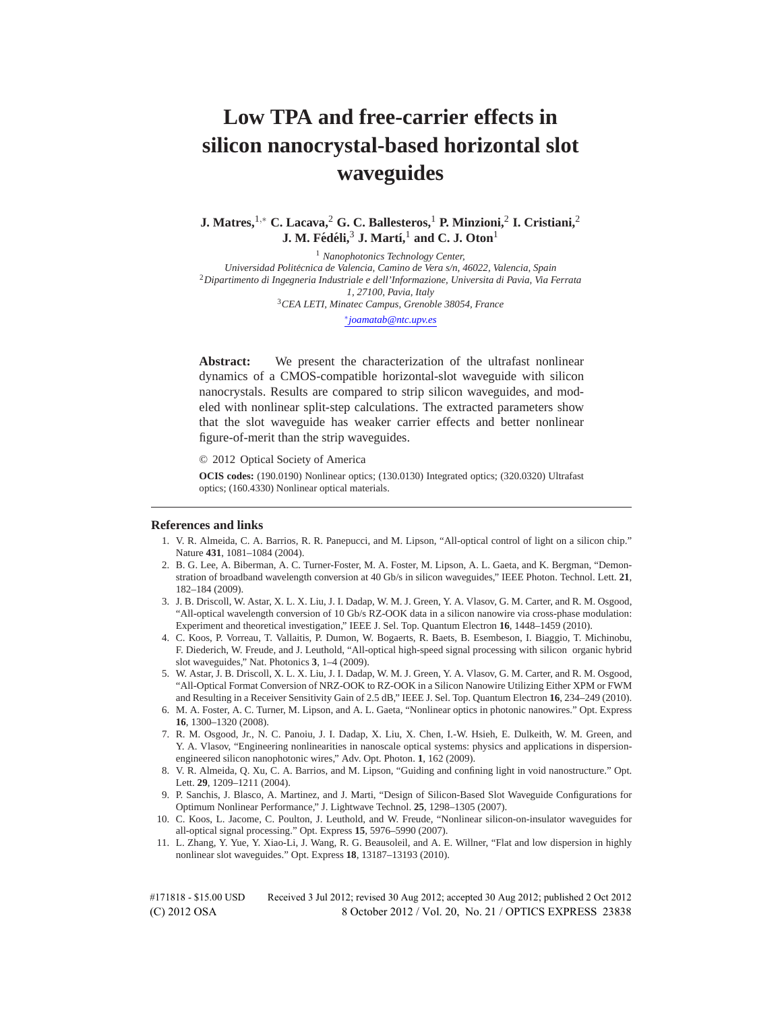# **Low TPA and free-carrier effects in silicon nanocrystal-based horizontal slot waveguides**

**J. Matres,**1*,*<sup>∗</sup> **C. Lacava,**<sup>2</sup> **G. C. Ballesteros,**<sup>1</sup> **P. Minzioni,**<sup>2</sup> **I. Cristiani,**<sup>2</sup> **J. M. Fédéli,<sup>3</sup> J. Martí,<sup>1</sup> and C. J. Oton<sup>1</sup>** 

<sup>1</sup> *Nanophotonics Technology Center, Universidad Politecnica de Valencia, Camino de Vera s/n, 46022, Valencia, Spain ´* <sup>2</sup>*Dipartimento di Ingegneria Industriale e dell'Informazione, Universita di Pavia, Via Ferrata 1, 27100, Pavia, Italy* <sup>3</sup>*CEA LETI, Minatec Campus, Grenoble 38054, France* ∗*joamatab@ntc.upv.es*

**Abstract:** We present the characterization of the ultrafast nonlinear dynamics of a CMOS-compatible horizontal-slot waveguide with silicon nanocrystals. Results are compared to strip silicon waveguides, and modeled with nonlinear split-step calculations. The extracted parameters show that the slot waveguide has weaker carrier effects and better nonlinear figure-of-merit than the strip waveguides.

© 2012 Optical Society of America

**OCIS codes:** (190.0190) Nonlinear optics; (130.0130) Integrated optics; (320.0320) Ultrafast optics; (160.4330) Nonlinear optical materials.

## **References and links**

- 1. V. R. Almeida, C. A. Barrios, R. R. Panepucci, and M. Lipson, "All-optical control of light on a silicon chip." Nature **431**, 1081–1084 (2004).
- 2. B. G. Lee, A. Biberman, A. C. Turner-Foster, M. A. Foster, M. Lipson, A. L. Gaeta, and K. Bergman, "Demonstration of broadband wavelength conversion at 40 Gb/s in silicon waveguides," IEEE Photon. Technol. Lett. **21**, 182–184 (2009).
- 3. J. B. Driscoll, W. Astar, X. L. X. Liu, J. I. Dadap, W. M. J. Green, Y. A. Vlasov, G. M. Carter, and R. M. Osgood, "All-optical wavelength conversion of 10 Gb/s RZ-OOK data in a silicon nanowire via cross-phase modulation: Experiment and theoretical investigation," IEEE J. Sel. Top. Quantum Electron **16**, 1448–1459 (2010).
- 4. C. Koos, P. Vorreau, T. Vallaitis, P. Dumon, W. Bogaerts, R. Baets, B. Esembeson, I. Biaggio, T. Michinobu, F. Diederich, W. Freude, and J. Leuthold, "All-optical high-speed signal processing with silicon organic hybrid slot waveguides," Nat. Photonics **3**, 1–4 (2009).
- 5. W. Astar, J. B. Driscoll, X. L. X. Liu, J. I. Dadap, W. M. J. Green, Y. A. Vlasov, G. M. Carter, and R. M. Osgood, "All-Optical Format Conversion of NRZ-OOK to RZ-OOK in a Silicon Nanowire Utilizing Either XPM or FWM and Resulting in a Receiver Sensitivity Gain of 2.5 dB," IEEE J. Sel. Top. Quantum Electron **16**, 234–249 (2010).
- 6. M. A. Foster, A. C. Turner, M. Lipson, and A. L. Gaeta, "Nonlinear optics in photonic nanowires." Opt. Express **16**, 1300–1320 (2008).
- 7. R. M. Osgood, Jr., N. C. Panoiu, J. I. Dadap, X. Liu, X. Chen, I.-W. Hsieh, E. Dulkeith, W. M. Green, and Y. A. Vlasov, "Engineering nonlinearities in nanoscale optical systems: physics and applications in dispersionengineered silicon nanophotonic wires," Adv. Opt. Photon. **1**, 162 (2009).
- 8. V. R. Almeida, Q. Xu, C. A. Barrios, and M. Lipson, "Guiding and confining light in void nanostructure." Opt. Lett. **29**, 1209–1211 (2004).
- 9. P. Sanchis, J. Blasco, A. Martinez, and J. Marti, "Design of Silicon-Based Slot Waveguide Configurations for Optimum Nonlinear Performance," J. Lightwave Technol. **25**, 1298–1305 (2007).
- 10. C. Koos, L. Jacome, C. Poulton, J. Leuthold, and W. Freude, "Nonlinear silicon-on-insulator waveguides for all-optical signal processing." Opt. Express **15**, 5976–5990 (2007).
- 11. L. Zhang, Y. Yue, Y. Xiao-Li, J. Wang, R. G. Beausoleil, and A. E. Willner, "Flat and low dispersion in highly nonlinear slot waveguides." Opt. Express **18**, 13187–13193 (2010).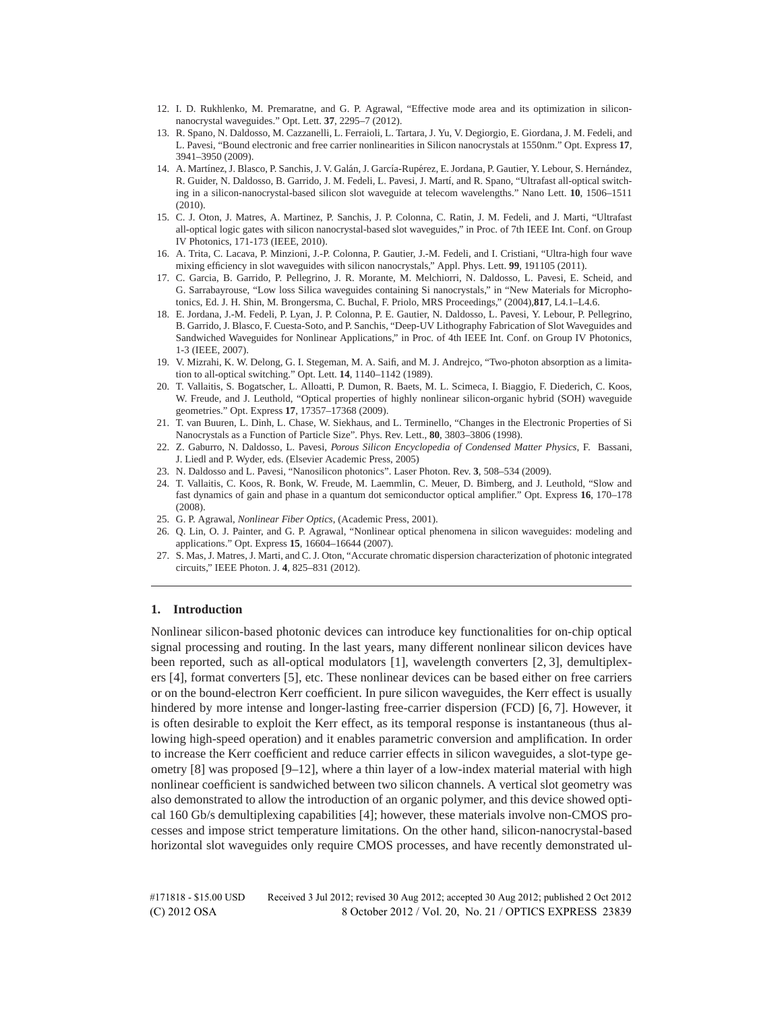- 12. I. D. Rukhlenko, M. Premaratne, and G. P. Agrawal, "Effective mode area and its optimization in siliconnanocrystal waveguides." Opt. Lett. **37**, 2295–7 (2012).
- 13. R. Spano, N. Daldosso, M. Cazzanelli, L. Ferraioli, L. Tartara, J. Yu, V. Degiorgio, E. Giordana, J. M. Fedeli, and L. Pavesi, "Bound electronic and free carrier nonlinearities in Silicon nanocrystals at 1550nm." Opt. Express **17**, 3941–3950 (2009).
- 14. A. Martínez, J. Blasco, P. Sanchis, J. V. Galán, J. García-Rupérez, E. Jordana, P. Gautier, Y. Lebour, S. Hernández, R. Guider, N. Daldosso, B. Garrido, J. M. Fedeli, L. Pavesi, J. Martí, and R. Spano, "Ultrafast all-optical switching in a silicon-nanocrystal-based silicon slot waveguide at telecom wavelengths." Nano Lett. **10**, 1506–1511 (2010).
- 15. C. J. Oton, J. Matres, A. Martinez, P. Sanchis, J. P. Colonna, C. Ratin, J. M. Fedeli, and J. Marti, "Ultrafast all-optical logic gates with silicon nanocrystal-based slot waveguides," in Proc. of 7th IEEE Int. Conf. on Group IV Photonics, 171-173 (IEEE, 2010).
- 16. A. Trita, C. Lacava, P. Minzioni, J.-P. Colonna, P. Gautier, J.-M. Fedeli, and I. Cristiani, "Ultra-high four wave mixing efficiency in slot waveguides with silicon nanocrystals," Appl. Phys. Lett. **99**, 191105 (2011).
- 17. C. Garcia, B. Garrido, P. Pellegrino, J. R. Morante, M. Melchiorri, N. Daldosso, L. Pavesi, E. Scheid, and G. Sarrabayrouse, "Low loss Silica waveguides containing Si nanocrystals," in "New Materials for Microphotonics, Ed. J. H. Shin, M. Brongersma, C. Buchal, F. Priolo, MRS Proceedings," (2004),**817**, L4.1–L4.6.
- 18. E. Jordana, J.-M. Fedeli, P. Lyan, J. P. Colonna, P. E. Gautier, N. Daldosso, L. Pavesi, Y. Lebour, P. Pellegrino, B. Garrido, J. Blasco, F. Cuesta-Soto, and P. Sanchis, "Deep-UV Lithography Fabrication of Slot Waveguides and Sandwiched Waveguides for Nonlinear Applications," in Proc. of 4th IEEE Int. Conf. on Group IV Photonics, 1-3 (IEEE, 2007).
- 19. V. Mizrahi, K. W. Delong, G. I. Stegeman, M. A. Saifi, and M. J. Andrejco, "Two-photon absorption as a limitation to all-optical switching." Opt. Lett. **14**, 1140–1142 (1989).
- 20. T. Vallaitis, S. Bogatscher, L. Alloatti, P. Dumon, R. Baets, M. L. Scimeca, I. Biaggio, F. Diederich, C. Koos, W. Freude, and J. Leuthold, "Optical properties of highly nonlinear silicon-organic hybrid (SOH) waveguide geometries." Opt. Express **17**, 17357–17368 (2009).
- 21. T. van Buuren, L. Dinh, L. Chase, W. Siekhaus, and L. Terminello, "Changes in the Electronic Properties of Si Nanocrystals as a Function of Particle Size". Phys. Rev. Lett., **80**, 3803–3806 (1998).
- 22. Z. Gaburro, N. Daldosso, L. Pavesi, *Porous Silicon Encyclopedia of Condensed Matter Physics*, F. Bassani, J. Liedl and P. Wyder, eds. (Elsevier Academic Press, 2005)
- 23. N. Daldosso and L. Pavesi, "Nanosilicon photonics". Laser Photon. Rev. **3**, 508–534 (2009).
- 24. T. Vallaitis, C. Koos, R. Bonk, W. Freude, M. Laemmlin, C. Meuer, D. Bimberg, and J. Leuthold, "Slow and fast dynamics of gain and phase in a quantum dot semiconductor optical amplifier." Opt. Express **16**, 170–178 (2008).
- 25. G. P. Agrawal, *Nonlinear Fiber Optics*, (Academic Press, 2001).
- 26. Q. Lin, O. J. Painter, and G. P. Agrawal, "Nonlinear optical phenomena in silicon waveguides: modeling and applications." Opt. Express **15**, 16604–16644 (2007).
- 27. S. Mas, J. Matres, J. Marti, and C. J. Oton, "Accurate chromatic dispersion characterization of photonic integrated circuits," IEEE Photon. J. **4**, 825–831 (2012).

#### **1. Introduction**

Nonlinear silicon-based photonic devices can introduce key functionalities for on-chip optical signal processing and routing. In the last years, many different nonlinear silicon devices have been reported, such as all-optical modulators [1], wavelength converters [2, 3], demultiplexers [4], format converters [5], etc. These nonlinear devices can be based either on free carriers or on the bound-electron Kerr coefficient. In pure silicon waveguides, the Kerr effect is usually hindered by more intense and longer-lasting free-carrier dispersion (FCD) [6, 7]. However, it is often desirable to exploit the Kerr effect, as its temporal response is instantaneous (thus allowing high-speed operation) and it enables parametric conversion and amplification. In order to increase the Kerr coefficient and reduce carrier effects in silicon waveguides, a slot-type geometry [8] was proposed [9–12], where a thin layer of a low-index material material with high nonlinear coefficient is sandwiched between two silicon channels. A vertical slot geometry was also demonstrated to allow the introduction of an organic polymer, and this device showed optical 160 Gb/s demultiplexing capabilities [4]; however, these materials involve non-CMOS processes and impose strict temperature limitations. On the other hand, silicon-nanocrystal-based horizontal slot waveguides only require CMOS processes, and have recently demonstrated ul-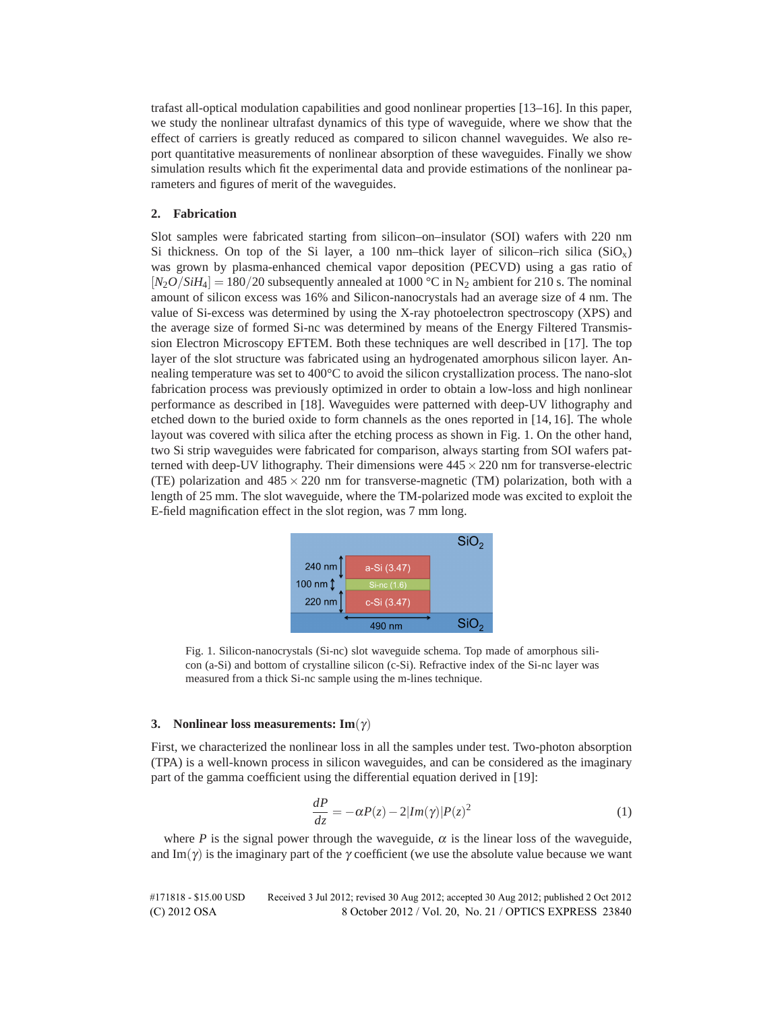trafast all-optical modulation capabilities and good nonlinear properties [13–16]. In this paper, we study the nonlinear ultrafast dynamics of this type of waveguide, where we show that the effect of carriers is greatly reduced as compared to silicon channel waveguides. We also report quantitative measurements of nonlinear absorption of these waveguides. Finally we show simulation results which fit the experimental data and provide estimations of the nonlinear parameters and figures of merit of the waveguides.

## **2. Fabrication**

Slot samples were fabricated starting from silicon–on–insulator (SOI) wafers with 220 nm Si thickness. On top of the Si layer, a 100 nm–thick layer of silicon–rich silica  $(SiO<sub>x</sub>)$ was grown by plasma-enhanced chemical vapor deposition (PECVD) using a gas ratio of  $[N_2O/SiH_4] = 180/20$  subsequently annealed at 1000 °C in N<sub>2</sub> ambient for 210 s. The nominal amount of silicon excess was 16% and Silicon-nanocrystals had an average size of 4 nm. The value of Si-excess was determined by using the X-ray photoelectron spectroscopy (XPS) and the average size of formed Si-nc was determined by means of the Energy Filtered Transmission Electron Microscopy EFTEM. Both these techniques are well described in [17]. The top layer of the slot structure was fabricated using an hydrogenated amorphous silicon layer. Annealing temperature was set to 400°C to avoid the silicon crystallization process. The nano-slot fabrication process was previously optimized in order to obtain a low-loss and high nonlinear performance as described in [18]. Waveguides were patterned with deep-UV lithography and etched down to the buried oxide to form channels as the ones reported in [14, 16]. The whole layout was covered with silica after the etching process as shown in Fig. 1. On the other hand, two Si strip waveguides were fabricated for comparison, always starting from SOI wafers patterned with deep-UV lithography. Their dimensions were  $445 \times 220$  nm for transverse-electric (TE) polarization and  $485 \times 220$  nm for transverse-magnetic (TM) polarization, both with a length of 25 mm. The slot waveguide, where the TM-polarized mode was excited to exploit the E-field magnification effect in the slot region, was 7 mm long.



Fig. 1. Silicon-nanocrystals (Si-nc) slot waveguide schema. Top made of amorphous silicon (a-Si) and bottom of crystalline silicon (c-Si). Refractive index of the Si-nc layer was measured from a thick Si-nc sample using the m-lines technique.

#### **3. Nonlinear loss measurements: Im**(γ)

First, we characterized the nonlinear loss in all the samples under test. Two-photon absorption (TPA) is a well-known process in silicon waveguides, and can be considered as the imaginary part of the gamma coefficient using the differential equation derived in [19]:

$$
\frac{dP}{dz} = -\alpha P(z) - 2|Im(\gamma)|P(z)^2 \tag{1}
$$

where *P* is the signal power through the waveguide,  $\alpha$  is the linear loss of the waveguide, and Im( $\gamma$ ) is the imaginary part of the  $\gamma$  coefficient (we use the absolute value because we want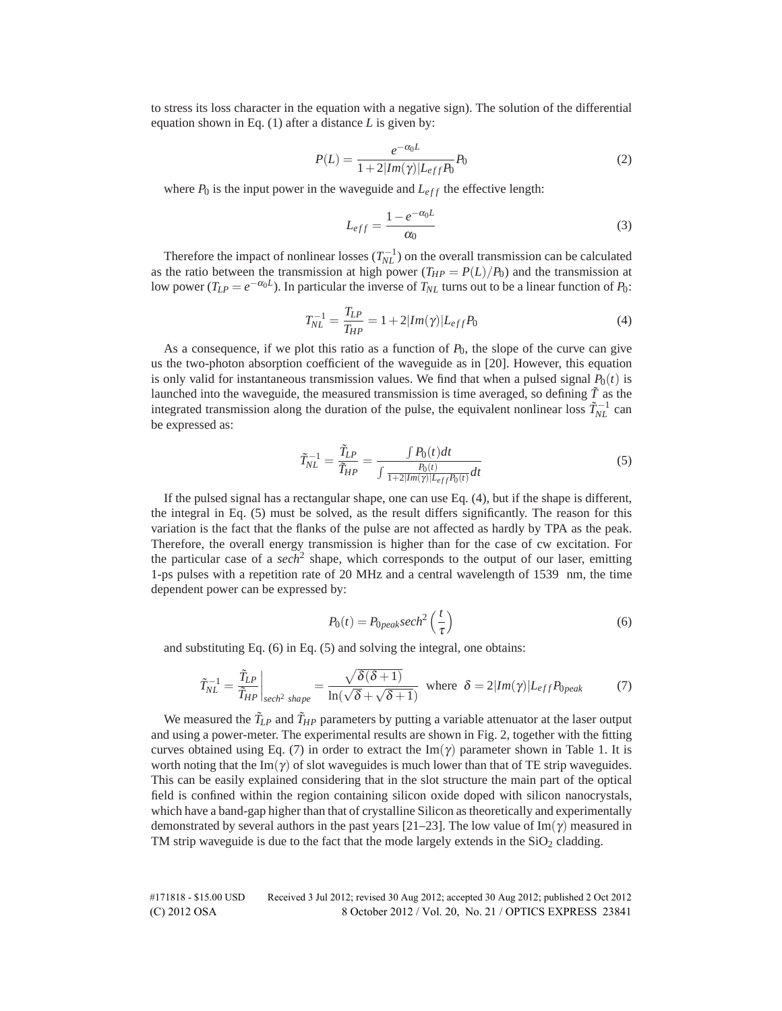to stress its loss character in the equation with a negative sign). The solution of the differential equation shown in Eq. (1) after a distance *L* is given by:

$$
P(L) = \frac{e^{-\alpha_0 L}}{1 + 2|Im(\gamma)|L_{eff}P_0}P_0
$$
\n(2)

where  $P_0$  is the input power in the waveguide and  $L_{eff}$  the effective length:

$$
L_{eff} = \frac{1 - e^{-\alpha_0 L}}{\alpha_0} \tag{3}
$$

Therefore the impact of nonlinear losses  $(T_{NL}^{-1})$  on the overall transmission can be calculated as the ratio between the transmission at high power  $(T_{HP} = P(L)/P_0)$  and the transmission at low power ( $T_{LP} = e^{-\alpha_0 L}$ ). In particular the inverse of  $T_{NL}$  turns out to be a linear function of  $P_0$ :

$$
T_{NL}^{-1} = \frac{T_{LP}}{T_{HP}} = 1 + 2|Im(\gamma)|L_{eff}P_0
$$
\n(4)

As a consequence, if we plot this ratio as a function of  $P_0$ , the slope of the curve can give us the two-photon absorption coefficient of the waveguide as in [20]. However, this equation is only valid for instantaneous transmission values. We find that when a pulsed signal  $P_0(t)$  is launched into the waveguide, the measured transmission is time averaged, so defining  $\tilde{T}$  as the integrated transmission along the duration of the pulse, the equivalent nonlinear loss  $\tilde{T}_{NL}^{-1}$  can be expressed as:

$$
\tilde{T}_{NL}^{-1} = \frac{\tilde{T}_{LP}}{\tilde{T}_{HP}} = \frac{\int P_0(t)dt}{\int \frac{P_0(t)}{1 + 2|Im(\gamma)|L_{eff}P_0(t)}dt}
$$
(5)

If the pulsed signal has a rectangular shape, one can use Eq. (4), but if the shape is different, the integral in Eq. (5) must be solved, as the result differs significantly. The reason for this variation is the fact that the flanks of the pulse are not affected as hardly by TPA as the peak. Therefore, the overall energy transmission is higher than for the case of cw excitation. For the particular case of a *sech*<sup>2</sup> shape, which corresponds to the output of our laser, emitting 1-ps pulses with a repetition rate of 20 MHz and a central wavelength of 1539 nm, the time dependent power can be expressed by:

$$
P_0(t) = P_{0\text{peak}} \text{sech}^2\left(\frac{t}{\tau}\right) \tag{6}
$$

and substituting Eq. (6) in Eq. (5) and solving the integral, one obtains:

$$
\tilde{T}_{NL}^{-1} = \frac{\tilde{T}_{LP}}{\tilde{T}_{HP}}\bigg|_{\text{sech}^2 \text{ shape}} = \frac{\sqrt{\delta(\delta+1)}}{\ln(\sqrt{\delta} + \sqrt{\delta+1})} \text{ where } \delta = 2|Im(\gamma)|L_{eff}P_{0\text{peak}} \tag{7}
$$

We measured the  $\tilde{T}_{LP}$  and  $\tilde{T}_{HP}$  parameters by putting a variable attenuator at the laser output and using a power-meter. The experimental results are shown in Fig. 2, together with the fitting curves obtained using Eq. (7) in order to extract the Im( $\gamma$ ) parameter shown in Table 1. It is worth noting that the Im( $\gamma$ ) of slot waveguides is much lower than that of TE strip waveguides. This can be easily explained considering that in the slot structure the main part of the optical field is confined within the region containing silicon oxide doped with silicon nanocrystals, which have a band-gap higher than that of crystalline Silicon as theoretically and experimentally demonstrated by several authors in the past years [21–23]. The low value of Im( $\gamma$ ) measured in TM strip waveguide is due to the fact that the mode largely extends in the  $SiO<sub>2</sub>$  cladding.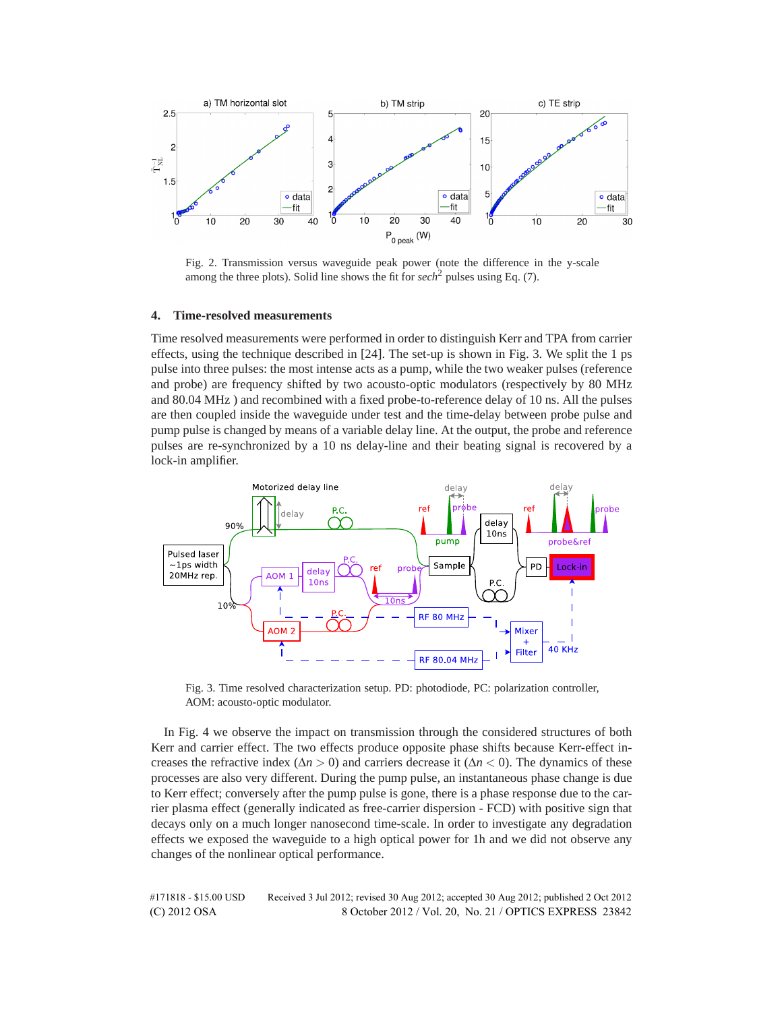

Fig. 2. Transmission versus waveguide peak power (note the difference in the y-scale among the three plots). Solid line shows the fit for  $sech<sup>2</sup>$  pulses using Eq. (7).

#### **4. Time-resolved measurements**

Time resolved measurements were performed in order to distinguish Kerr and TPA from carrier effects, using the technique described in [24]. The set-up is shown in Fig. 3. We split the 1 ps pulse into three pulses: the most intense acts as a pump, while the two weaker pulses (reference and probe) are frequency shifted by two acousto-optic modulators (respectively by 80 MHz and 80.04 MHz ) and recombined with a fixed probe-to-reference delay of 10 ns. All the pulses are then coupled inside the waveguide under test and the time-delay between probe pulse and pump pulse is changed by means of a variable delay line. At the output, the probe and reference pulses are re-synchronized by a 10 ns delay-line and their beating signal is recovered by a lock-in amplifier.



Fig. 3. Time resolved characterization setup. PD: photodiode, PC: polarization controller, AOM: acousto-optic modulator.

In Fig. 4 we observe the impact on transmission through the considered structures of both Kerr and carrier effect. The two effects produce opposite phase shifts because Kerr-effect increases the refractive index ( $\Delta n > 0$ ) and carriers decrease it ( $\Delta n < 0$ ). The dynamics of these processes are also very different. During the pump pulse, an instantaneous phase change is due to Kerr effect; conversely after the pump pulse is gone, there is a phase response due to the carrier plasma effect (generally indicated as free-carrier dispersion - FCD) with positive sign that decays only on a much longer nanosecond time-scale. In order to investigate any degradation effects we exposed the waveguide to a high optical power for 1h and we did not observe any changes of the nonlinear optical performance.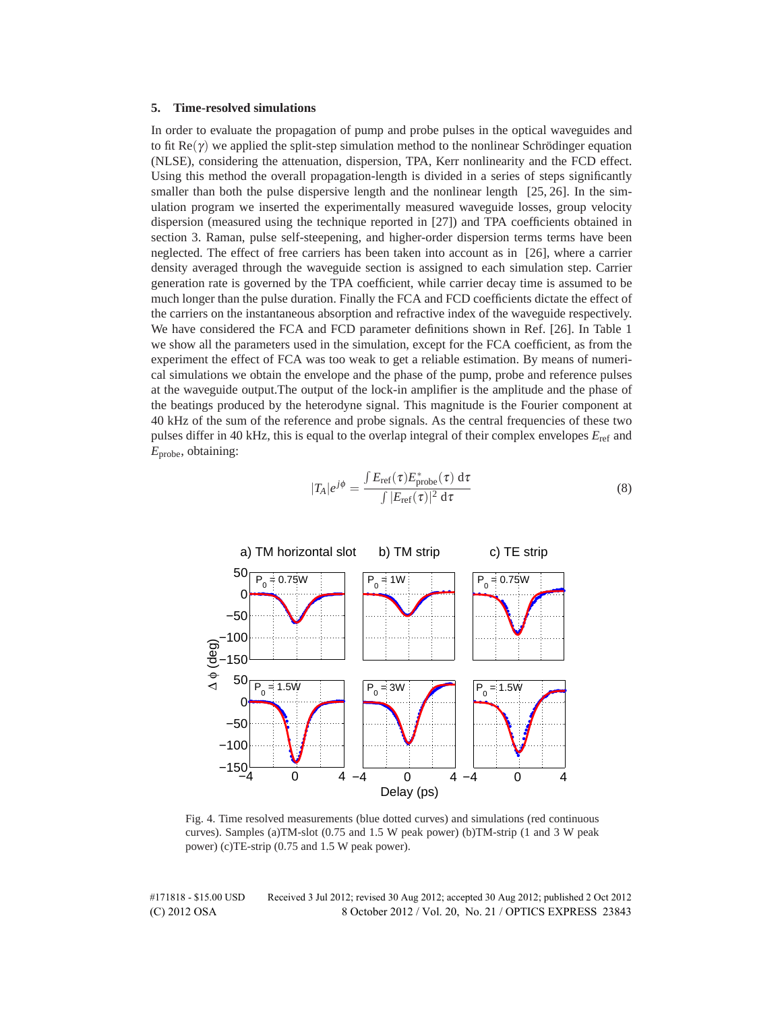## **5. Time-resolved simulations**

In order to evaluate the propagation of pump and probe pulses in the optical waveguides and to fit  $\text{Re}(\gamma)$  we applied the split-step simulation method to the nonlinear Schrödinger equation (NLSE), considering the attenuation, dispersion, TPA, Kerr nonlinearity and the FCD effect. Using this method the overall propagation-length is divided in a series of steps significantly smaller than both the pulse dispersive length and the nonlinear length [25, 26]. In the simulation program we inserted the experimentally measured waveguide losses, group velocity dispersion (measured using the technique reported in [27]) and TPA coefficients obtained in section 3. Raman, pulse self-steepening, and higher-order dispersion terms terms have been neglected. The effect of free carriers has been taken into account as in [26], where a carrier density averaged through the waveguide section is assigned to each simulation step. Carrier generation rate is governed by the TPA coefficient, while carrier decay time is assumed to be much longer than the pulse duration. Finally the FCA and FCD coefficients dictate the effect of the carriers on the instantaneous absorption and refractive index of the waveguide respectively. We have considered the FCA and FCD parameter definitions shown in Ref. [26]. In Table 1 we show all the parameters used in the simulation, except for the FCA coefficient, as from the experiment the effect of FCA was too weak to get a reliable estimation. By means of numerical simulations we obtain the envelope and the phase of the pump, probe and reference pulses at the waveguide output.The output of the lock-in amplifier is the amplitude and the phase of the beatings produced by the heterodyne signal. This magnitude is the Fourier component at 40 kHz of the sum of the reference and probe signals. As the central frequencies of these two pulses differ in 40 kHz, this is equal to the overlap integral of their complex envelopes *E*ref and *E*probe, obtaining:

$$
|T_A|e^{j\phi} = \frac{\int E_{\rm ref}(\tau) E_{\rm probe}^*(\tau) d\tau}{\int |E_{\rm ref}(\tau)|^2 d\tau}
$$
(8)



Fig. 4. Time resolved measurements (blue dotted curves) and simulations (red continuous curves). Samples (a)TM-slot (0.75 and 1.5 W peak power) (b)TM-strip (1 and 3 W peak power) (c)TE-strip (0.75 and 1.5 W peak power).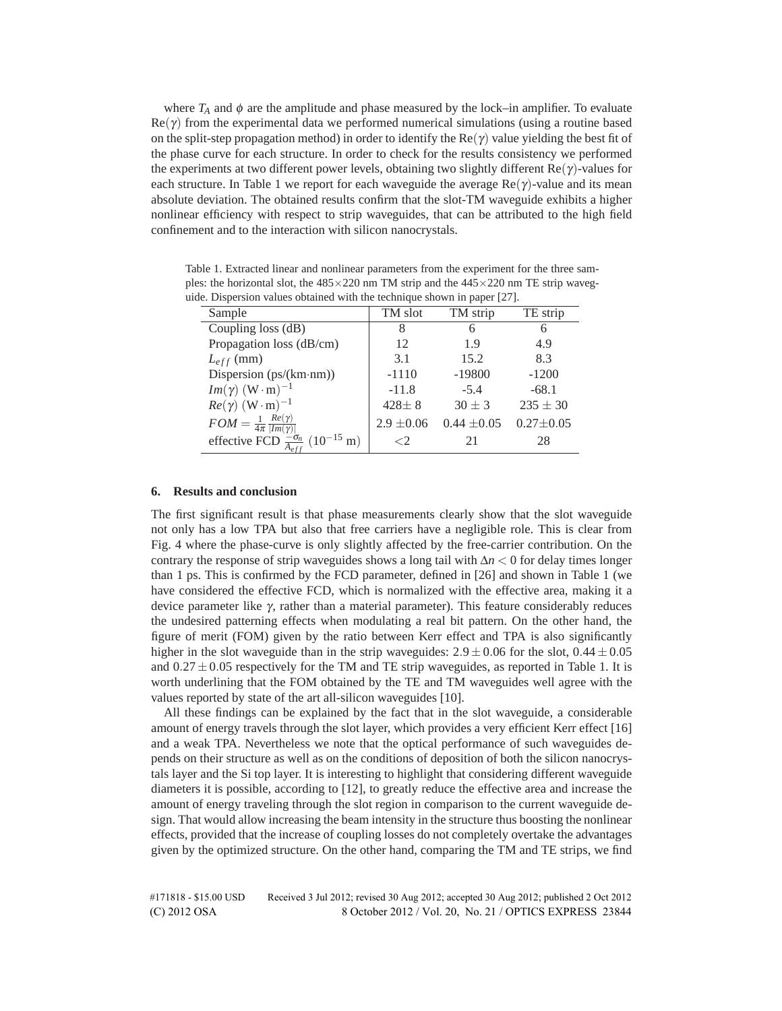where  $T_A$  and  $\phi$  are the amplitude and phase measured by the lock–in amplifier. To evaluate  $\text{Re}(\gamma)$  from the experimental data we performed numerical simulations (using a routine based on the split-step propagation method) in order to identify the  $\text{Re}(\gamma)$  value yielding the best fit of the phase curve for each structure. In order to check for the results consistency we performed the experiments at two different power levels, obtaining two slightly different  $\text{Re}(\gamma)$ -values for each structure. In Table 1 we report for each waveguide the average  $\text{Re}(\gamma)$ -value and its mean absolute deviation. The obtained results confirm that the slot-TM waveguide exhibits a higher nonlinear efficiency with respect to strip waveguides, that can be attributed to the high field confinement and to the interaction with silicon nanocrystals.

Table 1. Extracted linear and nonlinear parameters from the experiment for the three samples: the horizontal slot, the  $485 \times 220$  nm TM strip and the  $445 \times 220$  nm TE strip waveguide. Dispersion values obtained with the technique shown in paper [27].

| Sample                                                          | TM slot        | TM strip        | TE strip        |
|-----------------------------------------------------------------|----------------|-----------------|-----------------|
| Coupling loss (dB)                                              | 8              | 6               | 6               |
| Propagation loss (dB/cm)                                        | 12             | 1.9             | 4.9             |
| $L_{eff}$ (mm)                                                  | 3.1            | 15.2            | 8.3             |
| Dispersion $(ps/(km\cdot nm))$                                  | $-1110$        | $-19800$        | $-1200$         |
| $Im(\gamma)$ (W · m) <sup>-1</sup>                              | $-11.8$        | $-5.4$          | $-68.1$         |
| $Re(\gamma)$ (W · m) <sup>-1</sup>                              | $428 \pm 8$    | $30 \pm 3$      | $235 \pm 30$    |
| $FOM = \frac{1}{4\pi} \frac{Re(\gamma)}{ Im(\gamma) }$          | $2.9 \pm 0.06$ | $0.44 \pm 0.05$ | $0.27 \pm 0.05$ |
| effective FCD $\frac{-\sigma_n}{A_{eff}}$ (10 <sup>-15</sup> m) |                | 21              | 28              |

# **6. Results and conclusion**

The first significant result is that phase measurements clearly show that the slot waveguide not only has a low TPA but also that free carriers have a negligible role. This is clear from Fig. 4 where the phase-curve is only slightly affected by the free-carrier contribution. On the contrary the response of strip waveguides shows a long tail with Δ*n <* 0 for delay times longer than 1 ps. This is confirmed by the FCD parameter, defined in [26] and shown in Table 1 (we have considered the effective FCD, which is normalized with the effective area, making it a device parameter like γ, rather than a material parameter). This feature considerably reduces the undesired patterning effects when modulating a real bit pattern. On the other hand, the figure of merit (FOM) given by the ratio between Kerr effect and TPA is also significantly higher in the slot waveguide than in the strip waveguides:  $2.9 \pm 0.06$  for the slot,  $0.44 \pm 0.05$ and  $0.27 \pm 0.05$  respectively for the TM and TE strip waveguides, as reported in Table 1. It is worth underlining that the FOM obtained by the TE and TM waveguides well agree with the values reported by state of the art all-silicon waveguides [10].

All these findings can be explained by the fact that in the slot waveguide, a considerable amount of energy travels through the slot layer, which provides a very efficient Kerr effect [16] and a weak TPA. Nevertheless we note that the optical performance of such waveguides depends on their structure as well as on the conditions of deposition of both the silicon nanocrystals layer and the Si top layer. It is interesting to highlight that considering different waveguide diameters it is possible, according to [12], to greatly reduce the effective area and increase the amount of energy traveling through the slot region in comparison to the current waveguide design. That would allow increasing the beam intensity in the structure thus boosting the nonlinear effects, provided that the increase of coupling losses do not completely overtake the advantages given by the optimized structure. On the other hand, comparing the TM and TE strips, we find